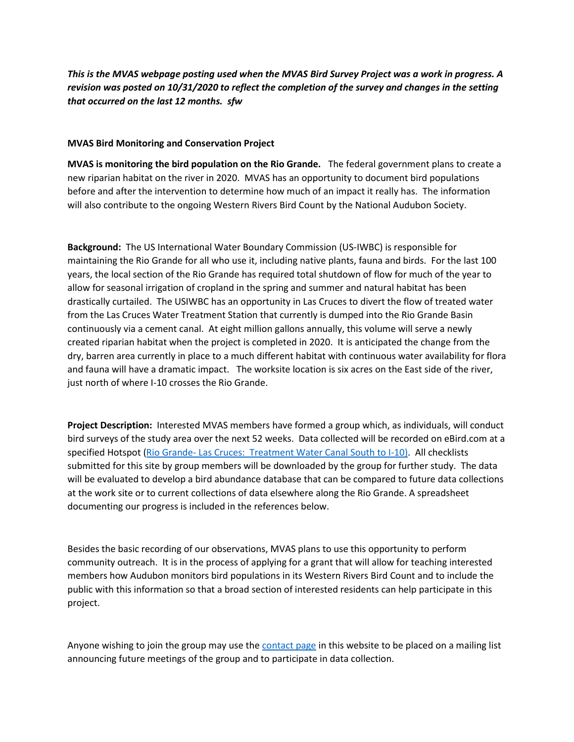*This is the MVAS webpage posting used when the MVAS Bird Survey Project was a work in progress. A revision was posted on 10/31/2020 to reflect the completion of the survey and changes in the setting that occurred on the last 12 months. sfw*

## **MVAS Bird Monitoring and Conservation Project**

**MVAS is monitoring the bird population on the Rio Grande.** The federal government plans to create a new riparian habitat on the river in 2020. MVAS has an opportunity to document bird populations before and after the intervention to determine how much of an impact it really has. The information will also contribute to the ongoing Western Rivers Bird Count by the National Audubon Society.

**Background:** The US International Water Boundary Commission (US-IWBC) is responsible for maintaining the Rio Grande for all who use it, including native plants, fauna and birds. For the last 100 years, the local section of the Rio Grande has required total shutdown of flow for much of the year to allow for seasonal irrigation of cropland in the spring and summer and natural habitat has been drastically curtailed. The USIWBC has an opportunity in Las Cruces to divert the flow of treated water from the Las Cruces Water Treatment Station that currently is dumped into the Rio Grande Basin continuously via a cement canal. At eight million gallons annually, this volume will serve a newly created riparian habitat when the project is completed in 2020. It is anticipated the change from the dry, barren area currently in place to a much different habitat with continuous water availability for flora and fauna will have a dramatic impact. The worksite location is six acres on the East side of the river, just north of where I-10 crosses the Rio Grande.

**Project Description:** Interested MVAS members have formed a group which, as individuals, will conduct bird surveys of the study area over the next 52 weeks. Data collected will be recorded on eBird.com at a specified Hotspot (Rio Grande- Las Cruces: [Treatment Water Canal South to I-10\).](https://ebird.org/hotspot/L10067095?yr=all&m=&rank=mrec) All checklists submitted for this site by group members will be downloaded by the group for further study. The data will be evaluated to develop a bird abundance database that can be compared to future data collections at the work site or to current collections of data elsewhere along the Rio Grande. A spreadsheet documenting our progress is included in the references below.

Besides the basic recording of our observations, MVAS plans to use this opportunity to perform community outreach. It is in the process of applying for a grant that will allow for teaching interested members how Audubon monitors bird populations in its Western Rivers Bird Count and to include the public with this information so that a broad section of interested residents can help participate in this project.

Anyone wishing to join the group may use the [contact page](https://www.mvasaudubon.org/contact-us) in this website to be placed on a mailing list announcing future meetings of the group and to participate in data collection.